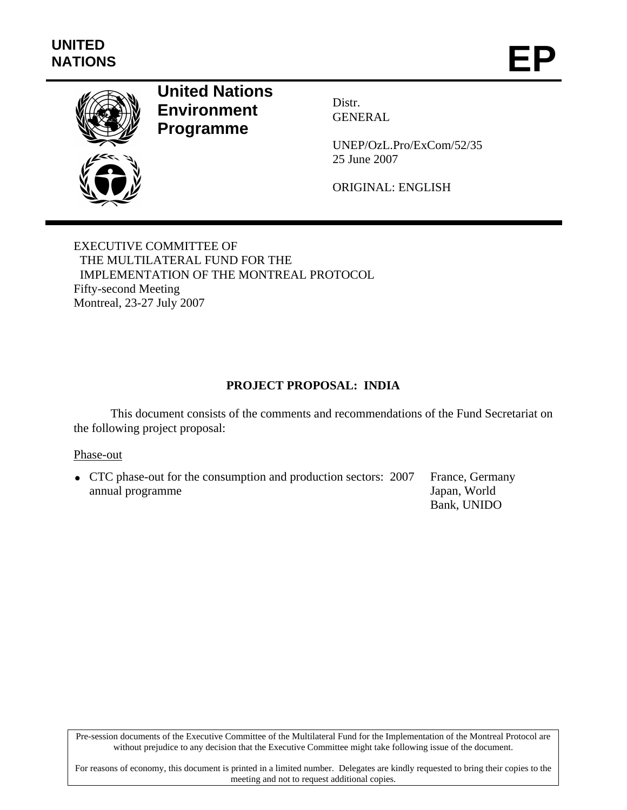

# **United Nations Environment Programme**

Distr. GENERAL

UNEP/OzL.Pro/ExCom/52/35 25 June 2007

ORIGINAL: ENGLISH

EXECUTIVE COMMITTEE OF THE MULTILATERAL FUND FOR THE IMPLEMENTATION OF THE MONTREAL PROTOCOL Fifty-second Meeting Montreal, 23-27 July 2007

## **PROJECT PROPOSAL: INDIA**

This document consists of the comments and recommendations of the Fund Secretariat on the following project proposal:

#### Phase-out

• CTC phase-out for the consumption and production sectors: 2007 annual programme France, Germany Japan, World Bank, UNIDO

Pre-session documents of the Executive Committee of the Multilateral Fund for the Implementation of the Montreal Protocol are without prejudice to any decision that the Executive Committee might take following issue of the document.

For reasons of economy, this document is printed in a limited number. Delegates are kindly requested to bring their copies to the meeting and not to request additional copies.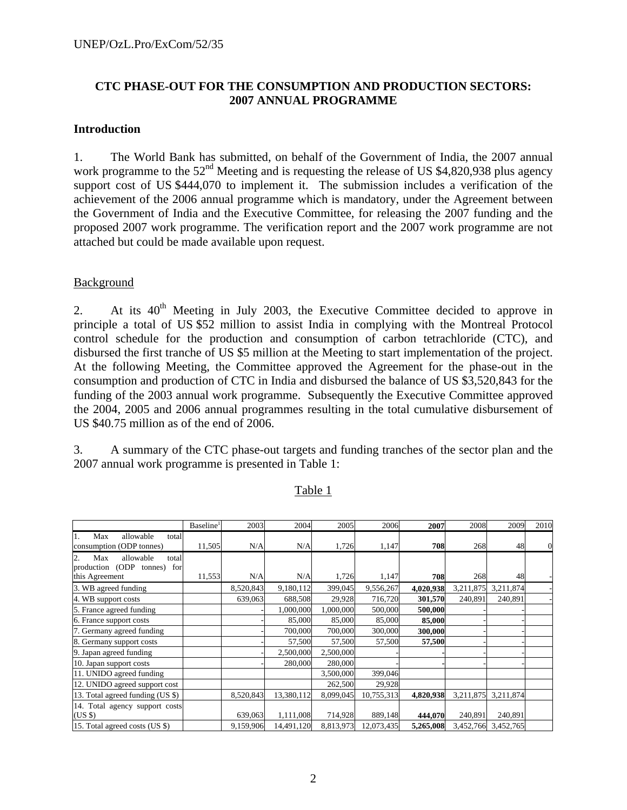## **CTC PHASE-OUT FOR THE CONSUMPTION AND PRODUCTION SECTORS: 2007 ANNUAL PROGRAMME**

#### **Introduction**

1. The World Bank has submitted, on behalf of the Government of India, the 2007 annual work programme to the  $52<sup>nd</sup>$  Meeting and is requesting the release of US \$4,820,938 plus agency support cost of US \$444,070 to implement it. The submission includes a verification of the achievement of the 2006 annual programme which is mandatory, under the Agreement between the Government of India and the Executive Committee, for releasing the 2007 funding and the proposed 2007 work programme. The verification report and the 2007 work programme are not attached but could be made available upon request.

#### Background

2. At its  $40<sup>th</sup>$  Meeting in July 2003, the Executive Committee decided to approve in principle a total of US \$52 million to assist India in complying with the Montreal Protocol control schedule for the production and consumption of carbon tetrachloride (CTC), and disbursed the first tranche of US \$5 million at the Meeting to start implementation of the project. At the following Meeting, the Committee approved the Agreement for the phase-out in the consumption and production of CTC in India and disbursed the balance of US \$3,520,843 for the funding of the 2003 annual work programme. Subsequently the Executive Committee approved the 2004, 2005 and 2006 annual programmes resulting in the total cumulative disbursement of US \$40.75 million as of the end of 2006.

3. A summary of the CTC phase-out targets and funding tranches of the sector plan and the 2007 annual work programme is presented in Table 1:

|                                                                      | Baseline <sup>1</sup> | 2003      | 2004       | 2005      | 2006       | 2007      | 2008      | 2009                | 2010 |
|----------------------------------------------------------------------|-----------------------|-----------|------------|-----------|------------|-----------|-----------|---------------------|------|
| allowable<br>Max<br>1.<br>total<br>consumption (ODP tonnes)          | 11,505                | N/A       | N/A        | 1,726     | 1,147      | 708       | 268       | 48                  |      |
| 2.<br>Max<br>allowable<br>total<br>(ODP tonnes)<br>for<br>production |                       |           |            |           |            |           |           |                     |      |
| this Agreement                                                       | 11,553                | N/A       | N/A        | 1,726     | 1,147      | 708       | 268       | 48                  |      |
| 3. WB agreed funding                                                 |                       | 8,520,843 | 9,180,112  | 399,045   | 9,556,267  | 4,020,938 | 3,211,875 | 3,211,874           |      |
| 4. WB support costs                                                  |                       | 639,063   | 688,508    | 29,928    | 716,720    | 301,570   | 240,891   | 240,891             |      |
| 5. France agreed funding                                             |                       |           | 1,000,000  | 1,000,000 | 500,000    | 500,000   |           |                     |      |
| 6. France support costs                                              |                       |           | 85,000     | 85,000    | 85,000     | 85,000    |           |                     |      |
| 7. Germany agreed funding                                            |                       |           | 700,000    | 700,000   | 300,000    | 300,000   |           |                     |      |
| 8. Germany support costs                                             |                       |           | 57,500     | 57,500    | 57,500     | 57,500    |           |                     |      |
| 9. Japan agreed funding                                              |                       |           | 2,500,000  | 2,500,000 |            |           |           |                     |      |
| 10. Japan support costs                                              |                       |           | 280,000    | 280,000   |            |           |           |                     |      |
| 11. UNIDO agreed funding                                             |                       |           |            | 3,500,000 | 399,046    |           |           |                     |      |
| 12. UNIDO agreed support cost                                        |                       |           |            | 262,500   | 29,928     |           |           |                     |      |
| 13. Total agreed funding (US \$)                                     |                       | 8,520,843 | 13,380,112 | 8,099,045 | 10,755,313 | 4,820,938 | 3,211,875 | 3,211,874           |      |
| 14. Total agency support costs                                       |                       |           |            |           |            |           |           |                     |      |
| (USS)                                                                |                       | 639,063   | 1,111,008  | 714,928   | 889,148    | 444,070   | 240,891   | 240,891             |      |
| 15. Total agreed costs (US \$)                                       |                       | 9,159,906 | 14,491,120 | 8,813,973 | 12,073,435 | 5,265,008 |           | 3,452,766 3,452,765 |      |

Table 1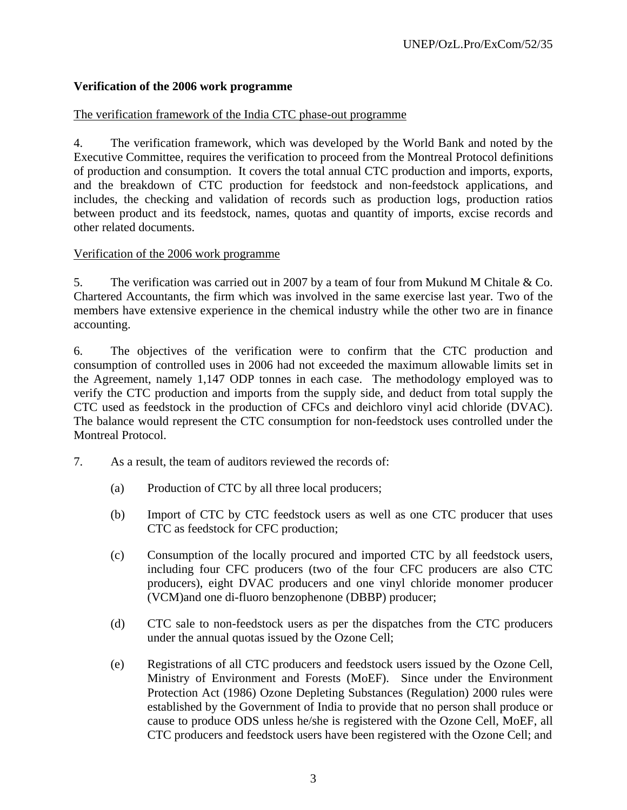## **Verification of the 2006 work programme**

## The verification framework of the India CTC phase-out programme

4. The verification framework, which was developed by the World Bank and noted by the Executive Committee, requires the verification to proceed from the Montreal Protocol definitions of production and consumption. It covers the total annual CTC production and imports, exports, and the breakdown of CTC production for feedstock and non-feedstock applications, and includes, the checking and validation of records such as production logs, production ratios between product and its feedstock, names, quotas and quantity of imports, excise records and other related documents.

## Verification of the 2006 work programme

5. The verification was carried out in 2007 by a team of four from Mukund M Chitale & Co. Chartered Accountants, the firm which was involved in the same exercise last year. Two of the members have extensive experience in the chemical industry while the other two are in finance accounting.

6. The objectives of the verification were to confirm that the CTC production and consumption of controlled uses in 2006 had not exceeded the maximum allowable limits set in the Agreement, namely 1,147 ODP tonnes in each case. The methodology employed was to verify the CTC production and imports from the supply side, and deduct from total supply the CTC used as feedstock in the production of CFCs and deichloro vinyl acid chloride (DVAC). The balance would represent the CTC consumption for non-feedstock uses controlled under the Montreal Protocol.

- 7. As a result, the team of auditors reviewed the records of:
	- (a) Production of CTC by all three local producers;
	- (b) Import of CTC by CTC feedstock users as well as one CTC producer that uses CTC as feedstock for CFC production;
	- (c) Consumption of the locally procured and imported CTC by all feedstock users, including four CFC producers (two of the four CFC producers are also CTC producers), eight DVAC producers and one vinyl chloride monomer producer (VCM)and one di-fluoro benzophenone (DBBP) producer;
	- (d) CTC sale to non-feedstock users as per the dispatches from the CTC producers under the annual quotas issued by the Ozone Cell;
	- (e) Registrations of all CTC producers and feedstock users issued by the Ozone Cell, Ministry of Environment and Forests (MoEF). Since under the Environment Protection Act (1986) Ozone Depleting Substances (Regulation) 2000 rules were established by the Government of India to provide that no person shall produce or cause to produce ODS unless he/she is registered with the Ozone Cell, MoEF, all CTC producers and feedstock users have been registered with the Ozone Cell; and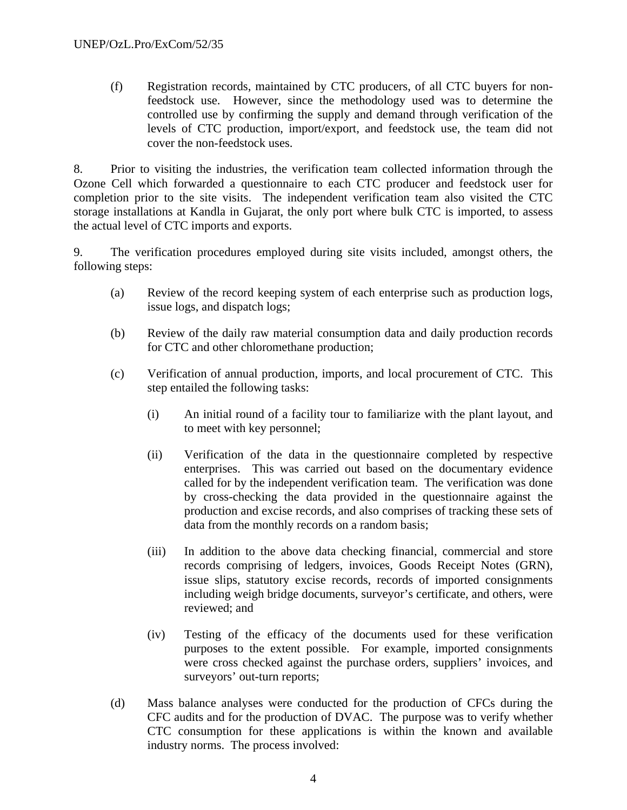(f) Registration records, maintained by CTC producers, of all CTC buyers for nonfeedstock use. However, since the methodology used was to determine the controlled use by confirming the supply and demand through verification of the levels of CTC production, import/export, and feedstock use, the team did not cover the non-feedstock uses.

8. Prior to visiting the industries, the verification team collected information through the Ozone Cell which forwarded a questionnaire to each CTC producer and feedstock user for completion prior to the site visits. The independent verification team also visited the CTC storage installations at Kandla in Gujarat, the only port where bulk CTC is imported, to assess the actual level of CTC imports and exports.

9. The verification procedures employed during site visits included, amongst others, the following steps:

- (a) Review of the record keeping system of each enterprise such as production logs, issue logs, and dispatch logs;
- (b) Review of the daily raw material consumption data and daily production records for CTC and other chloromethane production;
- (c) Verification of annual production, imports, and local procurement of CTC. This step entailed the following tasks:
	- (i) An initial round of a facility tour to familiarize with the plant layout, and to meet with key personnel;
	- (ii) Verification of the data in the questionnaire completed by respective enterprises. This was carried out based on the documentary evidence called for by the independent verification team. The verification was done by cross-checking the data provided in the questionnaire against the production and excise records, and also comprises of tracking these sets of data from the monthly records on a random basis;
	- (iii) In addition to the above data checking financial, commercial and store records comprising of ledgers, invoices, Goods Receipt Notes (GRN), issue slips, statutory excise records, records of imported consignments including weigh bridge documents, surveyor's certificate, and others, were reviewed; and
	- (iv) Testing of the efficacy of the documents used for these verification purposes to the extent possible. For example, imported consignments were cross checked against the purchase orders, suppliers' invoices, and surveyors' out-turn reports;
- (d) Mass balance analyses were conducted for the production of CFCs during the CFC audits and for the production of DVAC. The purpose was to verify whether CTC consumption for these applications is within the known and available industry norms. The process involved: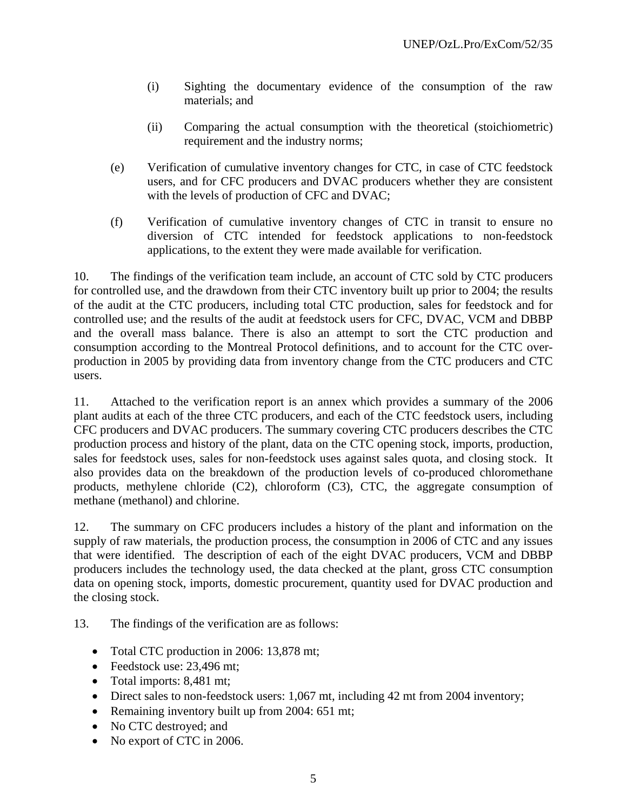- (i) Sighting the documentary evidence of the consumption of the raw materials; and
- (ii) Comparing the actual consumption with the theoretical (stoichiometric) requirement and the industry norms;
- (e) Verification of cumulative inventory changes for CTC, in case of CTC feedstock users, and for CFC producers and DVAC producers whether they are consistent with the levels of production of CFC and DVAC;
- (f) Verification of cumulative inventory changes of CTC in transit to ensure no diversion of CTC intended for feedstock applications to non-feedstock applications, to the extent they were made available for verification.

10. The findings of the verification team include, an account of CTC sold by CTC producers for controlled use, and the drawdown from their CTC inventory built up prior to 2004; the results of the audit at the CTC producers, including total CTC production, sales for feedstock and for controlled use; and the results of the audit at feedstock users for CFC, DVAC, VCM and DBBP and the overall mass balance. There is also an attempt to sort the CTC production and consumption according to the Montreal Protocol definitions, and to account for the CTC overproduction in 2005 by providing data from inventory change from the CTC producers and CTC users.

11. Attached to the verification report is an annex which provides a summary of the 2006 plant audits at each of the three CTC producers, and each of the CTC feedstock users, including CFC producers and DVAC producers. The summary covering CTC producers describes the CTC production process and history of the plant, data on the CTC opening stock, imports, production, sales for feedstock uses, sales for non-feedstock uses against sales quota, and closing stock. It also provides data on the breakdown of the production levels of co-produced chloromethane products, methylene chloride (C2), chloroform (C3), CTC, the aggregate consumption of methane (methanol) and chlorine.

12. The summary on CFC producers includes a history of the plant and information on the supply of raw materials, the production process, the consumption in 2006 of CTC and any issues that were identified. The description of each of the eight DVAC producers, VCM and DBBP producers includes the technology used, the data checked at the plant, gross CTC consumption data on opening stock, imports, domestic procurement, quantity used for DVAC production and the closing stock.

13. The findings of the verification are as follows:

- Total CTC production in 2006: 13,878 mt;
- Feedstock use: 23,496 mt;
- Total imports: 8,481 mt;
- Direct sales to non-feedstock users: 1,067 mt, including 42 mt from 2004 inventory;
- Remaining inventory built up from 2004: 651 mt;
- No CTC destroyed; and
- No export of CTC in 2006.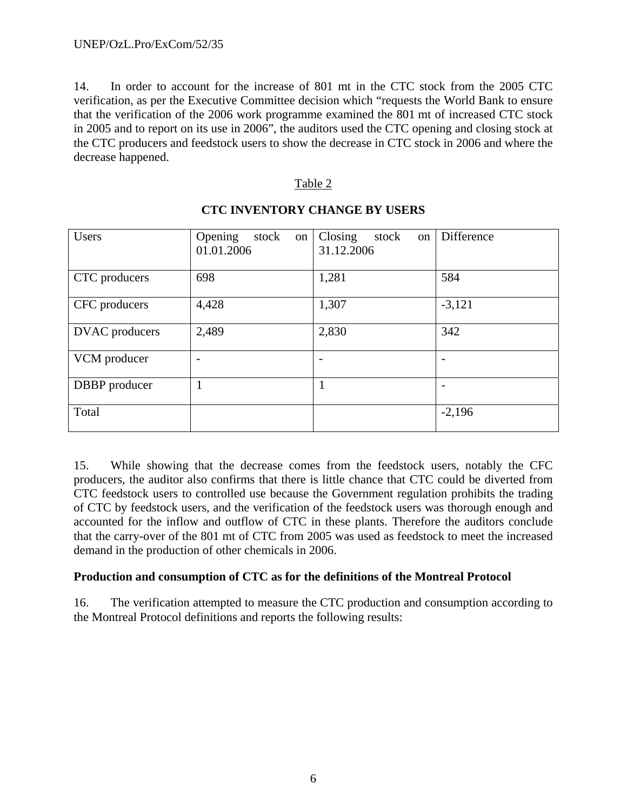14. In order to account for the increase of 801 mt in the CTC stock from the 2005 CTC verification, as per the Executive Committee decision which "requests the World Bank to ensure that the verification of the 2006 work programme examined the 801 mt of increased CTC stock in 2005 and to report on its use in 2006", the auditors used the CTC opening and closing stock at the CTC producers and feedstock users to show the decrease in CTC stock in 2006 and where the decrease happened.

#### Table 2

| <b>Users</b>   | Opening<br>stock<br>on<br>01.01.2006 | Closing<br>stock<br>on<br>31.12.2006 | Difference |
|----------------|--------------------------------------|--------------------------------------|------------|
| CTC producers  | 698                                  | 1,281                                | 584        |
| CFC producers  | 4,428                                | 1,307                                | $-3,121$   |
| DVAC producers | 2,489                                | 2,830                                | 342        |
| VCM producer   |                                      |                                      |            |
| DBBP producer  |                                      |                                      |            |
| Total          |                                      |                                      | $-2,196$   |

## **CTC INVENTORY CHANGE BY USERS**

15. While showing that the decrease comes from the feedstock users, notably the CFC producers, the auditor also confirms that there is little chance that CTC could be diverted from CTC feedstock users to controlled use because the Government regulation prohibits the trading of CTC by feedstock users, and the verification of the feedstock users was thorough enough and accounted for the inflow and outflow of CTC in these plants. Therefore the auditors conclude that the carry-over of the 801 mt of CTC from 2005 was used as feedstock to meet the increased demand in the production of other chemicals in 2006.

## **Production and consumption of CTC as for the definitions of the Montreal Protocol**

16. The verification attempted to measure the CTC production and consumption according to the Montreal Protocol definitions and reports the following results: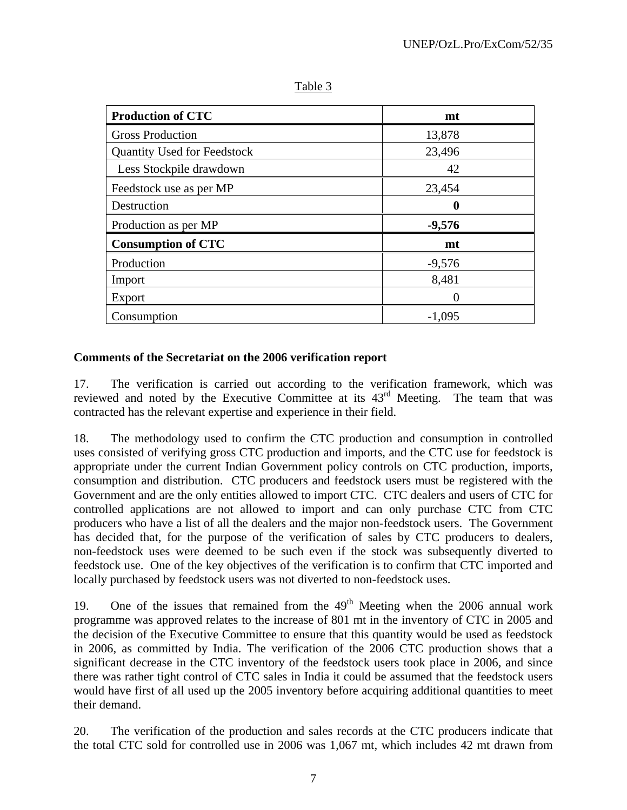| <b>Production of CTC</b>           | mt       |  |
|------------------------------------|----------|--|
| <b>Gross Production</b>            | 13,878   |  |
| <b>Quantity Used for Feedstock</b> | 23,496   |  |
| Less Stockpile drawdown            | 42       |  |
| Feedstock use as per MP            | 23,454   |  |
| Destruction                        | 0        |  |
| Production as per MP               | $-9,576$ |  |
| <b>Consumption of CTC</b>          | mt       |  |
| Production                         | $-9,576$ |  |
| Import                             | 8,481    |  |
| Export                             |          |  |
| Consumption                        | $-1,095$ |  |

Table 3

#### **Comments of the Secretariat on the 2006 verification report**

17. The verification is carried out according to the verification framework, which was reviewed and noted by the Executive Committee at its 43<sup>rd</sup> Meeting. The team that was contracted has the relevant expertise and experience in their field.

18. The methodology used to confirm the CTC production and consumption in controlled uses consisted of verifying gross CTC production and imports, and the CTC use for feedstock is appropriate under the current Indian Government policy controls on CTC production, imports, consumption and distribution. CTC producers and feedstock users must be registered with the Government and are the only entities allowed to import CTC. CTC dealers and users of CTC for controlled applications are not allowed to import and can only purchase CTC from CTC producers who have a list of all the dealers and the major non-feedstock users. The Government has decided that, for the purpose of the verification of sales by CTC producers to dealers, non-feedstock uses were deemed to be such even if the stock was subsequently diverted to feedstock use. One of the key objectives of the verification is to confirm that CTC imported and locally purchased by feedstock users was not diverted to non-feedstock uses.

19. One of the issues that remained from the  $49<sup>th</sup>$  Meeting when the 2006 annual work programme was approved relates to the increase of 801 mt in the inventory of CTC in 2005 and the decision of the Executive Committee to ensure that this quantity would be used as feedstock in 2006, as committed by India. The verification of the 2006 CTC production shows that a significant decrease in the CTC inventory of the feedstock users took place in 2006, and since there was rather tight control of CTC sales in India it could be assumed that the feedstock users would have first of all used up the 2005 inventory before acquiring additional quantities to meet their demand.

20. The verification of the production and sales records at the CTC producers indicate that the total CTC sold for controlled use in 2006 was 1,067 mt, which includes 42 mt drawn from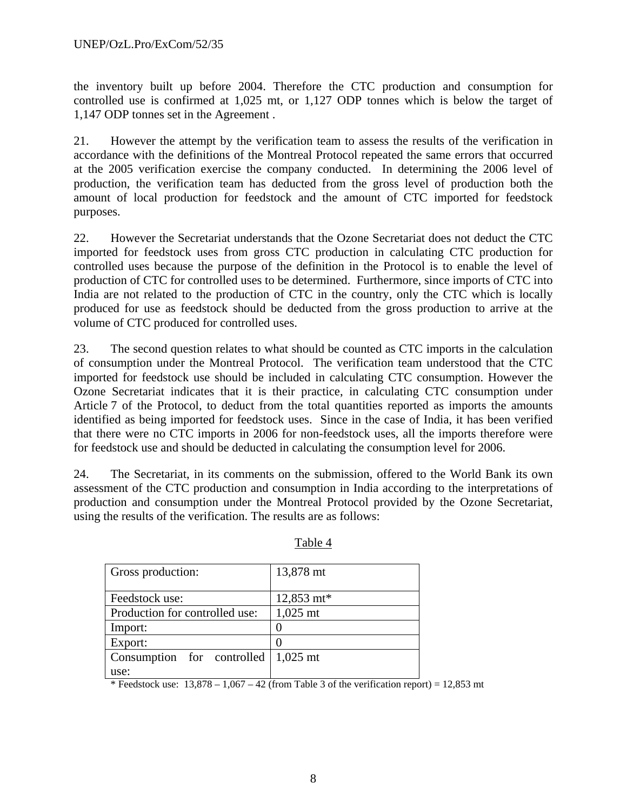the inventory built up before 2004. Therefore the CTC production and consumption for controlled use is confirmed at 1,025 mt, or 1,127 ODP tonnes which is below the target of 1,147 ODP tonnes set in the Agreement .

21. However the attempt by the verification team to assess the results of the verification in accordance with the definitions of the Montreal Protocol repeated the same errors that occurred at the 2005 verification exercise the company conducted. In determining the 2006 level of production, the verification team has deducted from the gross level of production both the amount of local production for feedstock and the amount of CTC imported for feedstock purposes.

22. However the Secretariat understands that the Ozone Secretariat does not deduct the CTC imported for feedstock uses from gross CTC production in calculating CTC production for controlled uses because the purpose of the definition in the Protocol is to enable the level of production of CTC for controlled uses to be determined. Furthermore, since imports of CTC into India are not related to the production of CTC in the country, only the CTC which is locally produced for use as feedstock should be deducted from the gross production to arrive at the volume of CTC produced for controlled uses.

23. The second question relates to what should be counted as CTC imports in the calculation of consumption under the Montreal Protocol. The verification team understood that the CTC imported for feedstock use should be included in calculating CTC consumption. However the Ozone Secretariat indicates that it is their practice, in calculating CTC consumption under Article 7 of the Protocol, to deduct from the total quantities reported as imports the amounts identified as being imported for feedstock uses. Since in the case of India, it has been verified that there were no CTC imports in 2006 for non-feedstock uses, all the imports therefore were for feedstock use and should be deducted in calculating the consumption level for 2006.

24. The Secretariat, in its comments on the submission, offered to the World Bank its own assessment of the CTC production and consumption in India according to the interpretations of production and consumption under the Montreal Protocol provided by the Ozone Secretariat, using the results of the verification. The results are as follows:

| Gross production:                                         | 13,878 mt  |  |  |
|-----------------------------------------------------------|------------|--|--|
| Feedstock use:                                            | 12,853 mt* |  |  |
| Production for controlled use:                            | $1,025$ mt |  |  |
| Import:                                                   |            |  |  |
| Export:                                                   |            |  |  |
| Consumption for controlled $\vert 1,025 \text{ mt} \vert$ |            |  |  |
| use:                                                      |            |  |  |

Table 4

\* Feedstock use:  $13,878 - 1,067 - 42$  (from Table 3 of the verification report) = 12,853 mt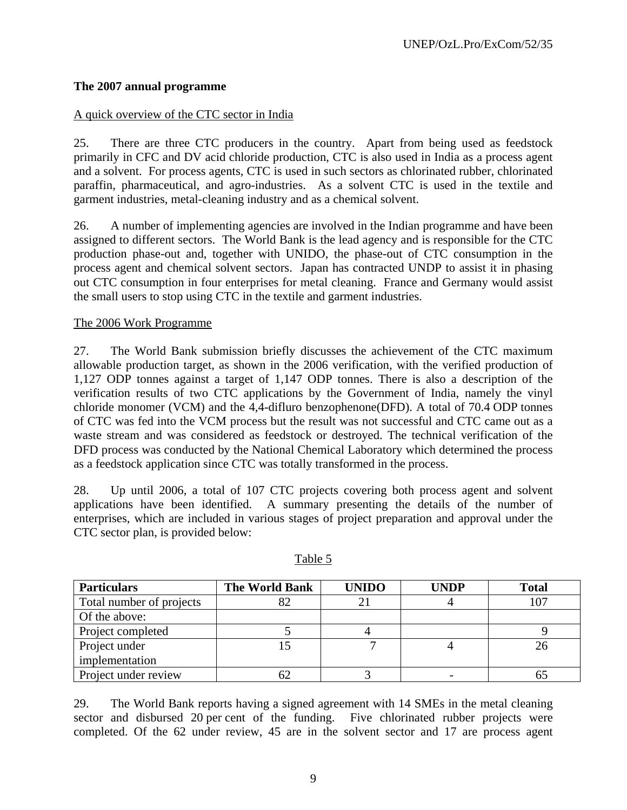## **The 2007 annual programme**

#### A quick overview of the CTC sector in India

25. There are three CTC producers in the country. Apart from being used as feedstock primarily in CFC and DV acid chloride production, CTC is also used in India as a process agent and a solvent. For process agents, CTC is used in such sectors as chlorinated rubber, chlorinated paraffin, pharmaceutical, and agro-industries. As a solvent CTC is used in the textile and garment industries, metal-cleaning industry and as a chemical solvent.

26. A number of implementing agencies are involved in the Indian programme and have been assigned to different sectors. The World Bank is the lead agency and is responsible for the CTC production phase-out and, together with UNIDO, the phase-out of CTC consumption in the process agent and chemical solvent sectors. Japan has contracted UNDP to assist it in phasing out CTC consumption in four enterprises for metal cleaning. France and Germany would assist the small users to stop using CTC in the textile and garment industries.

#### The 2006 Work Programme

27. The World Bank submission briefly discusses the achievement of the CTC maximum allowable production target, as shown in the 2006 verification, with the verified production of 1,127 ODP tonnes against a target of 1,147 ODP tonnes. There is also a description of the verification results of two CTC applications by the Government of India, namely the vinyl chloride monomer (VCM) and the 4,4-difluro benzophenone(DFD). A total of 70.4 ODP tonnes of CTC was fed into the VCM process but the result was not successful and CTC came out as a waste stream and was considered as feedstock or destroyed. The technical verification of the DFD process was conducted by the National Chemical Laboratory which determined the process as a feedstock application since CTC was totally transformed in the process.

28. Up until 2006, a total of 107 CTC projects covering both process agent and solvent applications have been identified. A summary presenting the details of the number of enterprises, which are included in various stages of project preparation and approval under the CTC sector plan, is provided below:

| <b>Particulars</b>       | <b>The World Bank</b> | <b>UNIDO</b> | <b>UNDP</b> | <b>Total</b> |
|--------------------------|-----------------------|--------------|-------------|--------------|
| Total number of projects |                       |              |             | 107          |
| Of the above:            |                       |              |             |              |
| Project completed        |                       |              |             |              |
| Project under            |                       |              |             |              |
| implementation           |                       |              |             |              |
| Project under review     |                       |              |             |              |

#### Table 5

29. The World Bank reports having a signed agreement with 14 SMEs in the metal cleaning sector and disbursed 20 per cent of the funding. Five chlorinated rubber projects were completed. Of the 62 under review, 45 are in the solvent sector and 17 are process agent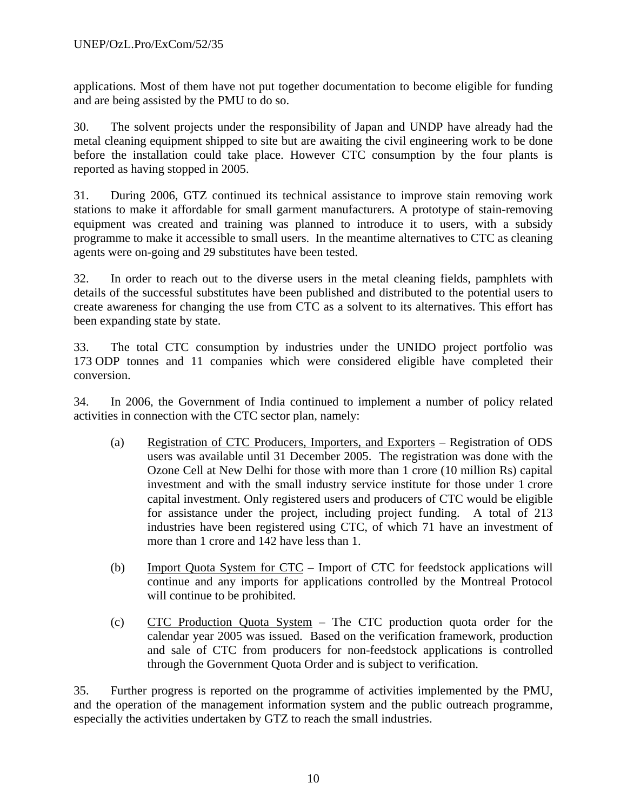applications. Most of them have not put together documentation to become eligible for funding and are being assisted by the PMU to do so.

30. The solvent projects under the responsibility of Japan and UNDP have already had the metal cleaning equipment shipped to site but are awaiting the civil engineering work to be done before the installation could take place. However CTC consumption by the four plants is reported as having stopped in 2005.

31. During 2006, GTZ continued its technical assistance to improve stain removing work stations to make it affordable for small garment manufacturers. A prototype of stain-removing equipment was created and training was planned to introduce it to users, with a subsidy programme to make it accessible to small users. In the meantime alternatives to CTC as cleaning agents were on-going and 29 substitutes have been tested.

32. In order to reach out to the diverse users in the metal cleaning fields, pamphlets with details of the successful substitutes have been published and distributed to the potential users to create awareness for changing the use from CTC as a solvent to its alternatives. This effort has been expanding state by state.

33. The total CTC consumption by industries under the UNIDO project portfolio was 173 ODP tonnes and 11 companies which were considered eligible have completed their conversion.

34. In 2006, the Government of India continued to implement a number of policy related activities in connection with the CTC sector plan, namely:

- (a) Registration of CTC Producers, Importers, and Exporters Registration of ODS users was available until 31 December 2005. The registration was done with the Ozone Cell at New Delhi for those with more than 1 crore (10 million Rs) capital investment and with the small industry service institute for those under 1 crore capital investment. Only registered users and producers of CTC would be eligible for assistance under the project, including project funding. A total of 213 industries have been registered using CTC, of which 71 have an investment of more than 1 crore and 142 have less than 1.
- (b) Import Quota System for CTC Import of CTC for feedstock applications will continue and any imports for applications controlled by the Montreal Protocol will continue to be prohibited.
- (c) CTC Production Quota System The CTC production quota order for the calendar year 2005 was issued. Based on the verification framework, production and sale of CTC from producers for non-feedstock applications is controlled through the Government Quota Order and is subject to verification.

35. Further progress is reported on the programme of activities implemented by the PMU, and the operation of the management information system and the public outreach programme, especially the activities undertaken by GTZ to reach the small industries.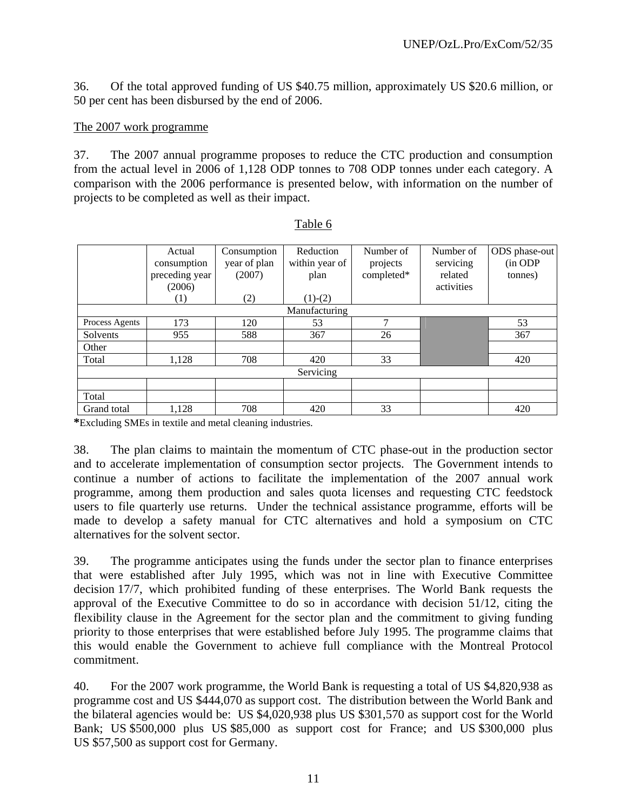36. Of the total approved funding of US \$40.75 million, approximately US \$20.6 million, or 50 per cent has been disbursed by the end of 2006.

#### The 2007 work programme

37. The 2007 annual programme proposes to reduce the CTC production and consumption from the actual level in 2006 of 1,128 ODP tonnes to 708 ODP tonnes under each category. A comparison with the 2006 performance is presented below, with information on the number of projects to be completed as well as their impact.

|                | Actual<br>consumption    | Consumption<br>year of plan | Reduction<br>within year of | Number of<br>projects | Number of<br>servicing | ODS phase-out<br>(in ODP |
|----------------|--------------------------|-----------------------------|-----------------------------|-----------------------|------------------------|--------------------------|
|                | preceding year<br>(2006) | (2007)                      | plan                        | completed*            | related<br>activities  | tonnes)                  |
|                | $\scriptstyle{(1)}$      | (2)                         | $(1)-(2)$                   |                       |                        |                          |
|                |                          |                             | Manufacturing               |                       |                        |                          |
| Process Agents | 173                      | 120                         | 53                          | 7                     |                        | 53                       |
| Solvents       | 955                      | 588                         | 367                         | 26                    |                        | 367                      |
| Other          |                          |                             |                             |                       |                        |                          |
| Total          | 1,128                    | 708                         | 420                         | 33                    |                        | 420                      |
|                |                          |                             | Servicing                   |                       |                        |                          |
|                |                          |                             |                             |                       |                        |                          |
| Total          |                          |                             |                             |                       |                        |                          |
| Grand total    | 1,128                    | 708                         | 420                         | 33                    |                        | 420                      |

**\***Excluding SMEs in textile and metal cleaning industries.

38. The plan claims to maintain the momentum of CTC phase-out in the production sector and to accelerate implementation of consumption sector projects. The Government intends to continue a number of actions to facilitate the implementation of the 2007 annual work programme, among them production and sales quota licenses and requesting CTC feedstock users to file quarterly use returns. Under the technical assistance programme, efforts will be made to develop a safety manual for CTC alternatives and hold a symposium on CTC alternatives for the solvent sector.

39. The programme anticipates using the funds under the sector plan to finance enterprises that were established after July 1995, which was not in line with Executive Committee decision 17/7, which prohibited funding of these enterprises. The World Bank requests the approval of the Executive Committee to do so in accordance with decision 51/12, citing the flexibility clause in the Agreement for the sector plan and the commitment to giving funding priority to those enterprises that were established before July 1995. The programme claims that this would enable the Government to achieve full compliance with the Montreal Protocol commitment.

40. For the 2007 work programme, the World Bank is requesting a total of US \$4,820,938 as programme cost and US \$444,070 as support cost. The distribution between the World Bank and the bilateral agencies would be: US \$4,020,938 plus US \$301,570 as support cost for the World Bank; US \$500,000 plus US \$85,000 as support cost for France; and US \$300,000 plus US \$57,500 as support cost for Germany.